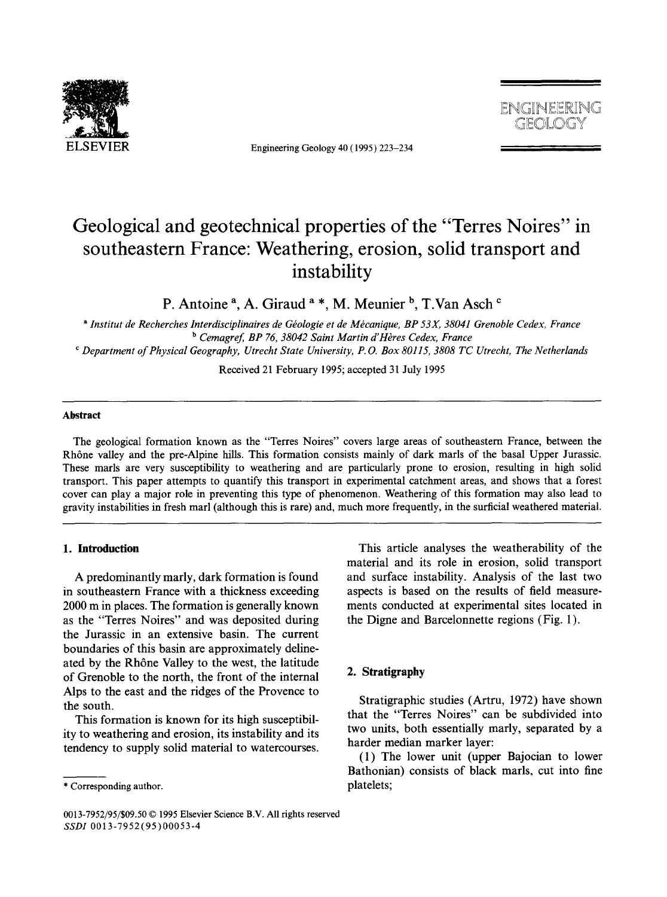

Engineering Geology 40 (1995) 223-234



# **Geological and geotechnical properties of the "Terres Noires" in southeastern France: Weathering, erosion, solid transport and instability**

P. Antoine<sup>a</sup>, A. Giraud<sup>a</sup>, M. Meunier<sup>b</sup>, T. Van Asch<sup>c</sup>

<sup>a</sup> Institut de Recherches Interdisciplinaires de Géologie et de Mécanique, BP 53X, 38041 Grenoble Cedex, France <sup>b</sup> Cemagref, BP 76, 38042 Saint Martin d'Hères Cedex, France

*c Department of Physical Geography, Utrecht State University, P.O. Box 80115, 3808 TC Utrecht, The Netherlands* 

Received 21 February 1995; accepted 31 July 1995

# **Abstract**

The geological formation known as the "Terres Noires" covers large areas of southeastern France, between the Rhône valley and the pre-Alpine hills. This formation consists mainly of dark marls of the basal Upper Jurassic. These marls are very susceptibility to weathering and are particularly prone to erosion, resulting in high solid transport. This paper attempts to quantify this transport in experimental catchment areas, and shows that a forest cover can play a major role in preventing this type of phenomenon. Weathering of this formation may also lead to gravity instabilities in fresh marl (although this is rare) and, much more frequently, in the surficial weathered material.

# **1. Introduction**

A predominantly marly, dark formation is found in southeastern France with a thickness exceeding 2000 m in places. The formation is generally known as the "Terres Noires" and was deposited during the Jurassic in an extensive basin. The current boundaries of this basin are approximately delineated by the Rh6ne Valley to the west, the latitude of Grenoble to the north, the front of the internal Alps to the east and the ridges of the Provence to the south.

This formation is known for its high susceptibility to weathering and erosion, its instability and its tendency to supply solid material to watercourses.

This article analyses the weatherability of the material and its role in erosion, solid transport and surface instability. Analysis of the last two aspects is based on the results of field measurements conducted at experimental sites located in the Digne and Barcelonnette regions (Fig. 1).

# **2. Stratigraphy**

Stratigraphic studies (Artru, 1972) have shown that the "Terres Noires" can be subdivided into two units, both essentially marly, separated by a harder median marker layer:

(1) The lower unit (upper Bajocian to lower Bathonian) consists of black marls, cut into fine platelets;

<sup>\*</sup> Corresponding author.

<sup>0013-7952/95/\$09.50 © 1995</sup> Elsevier Science B.V. All rights reserved *SSDI* 0013-7952(95)00053-4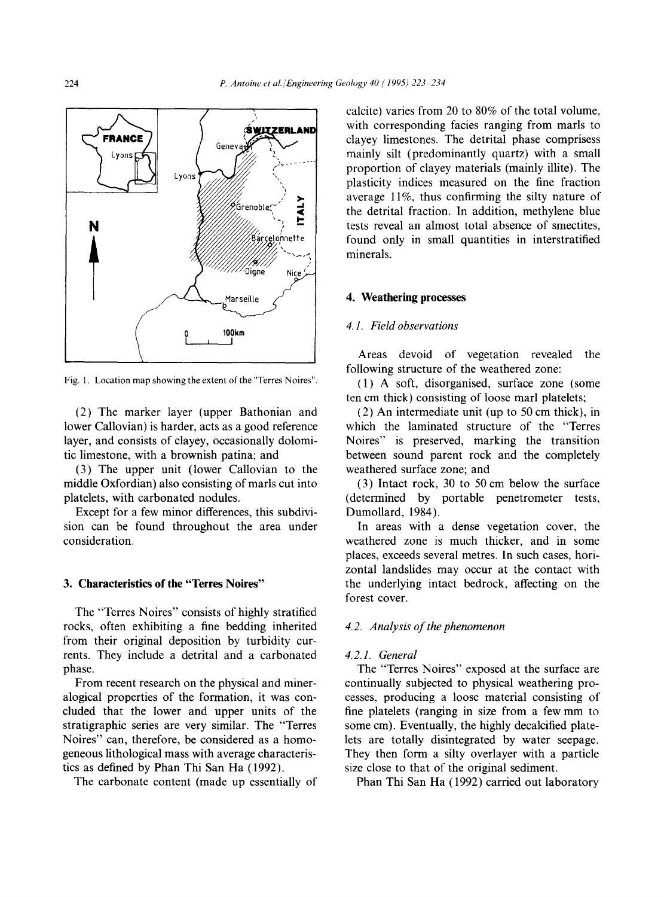

Fig. 1. Location map showing the extent of the "Terres Noires".

(2) The marker layer (upper Bathonian and lower Callovian) is harder, acts as a good reference layer, and consists of clayey, occasionally dolomitic limestone, with a brownish patina; and

(3) The upper unit (lower Callovian to the middle Oxfordian) also consisting of marls cut into platelets, with carbonated nodules.

Except for a few minor differences, this subdivision can be found throughout the area under consideration.

#### **3. Characteristics of the "Terres Noires"**

The "Terres Noires" consists of highly stratified rocks, often exhibiting a fine bedding inherited from their original deposition by turbidity currents. They include a detrital and a carbonated phase.

From recent research on the physical and mineralogical properties of the formation, it was concluded that the lower and upper units of the stratigraphic series are very similar. The "Terres Noires" can, therefore, be considered as a homogeneous lithological mass with average characteristics as defined by Phan Thi San Ha (1992).

The carbonate content (made up essentially of

calcite) varies from 20 to 80% of the total volume, with corresponding facies ranging from marls to clayey limestones. The detrital phase comprisess mainly silt (predominantly quartz) with a small proportion of clayey materials (mainly illite). The plasticity indices measured on the fine fraction average 11%, thus confirming the silty nature of the detrital fraction. In addition, methylene blue tests reveal an almost total absence of smectites, found only in small quantities in interstratified minerals.

## **4. Weathering processes**

## *4.1. Field observations*

Areas devoid of vegetation revealed the following structure of the weathered zone:

(1) A soft, disorganised, surface zone (some ten cm thick) consisting of loose marl platelets;

(2) An intermediate unit (up to 50 cm thick), in which the laminated structure of the "Terres Noires" is preserved, marking the transition between sound parent rock and the completely weathered surface zone; and

(3) Intact rock, 30 to 50 cm below the surface (determined by portable penetrometer tests, Dumollard, 1984).

In areas with a dense vegetation cover, the weathered zone is much thicker, and in some places, exceeds several metres. In such cases, horizontal landslides may occur at the contact with the underlying intact bedrock, affecting on the forest cover.

## *4.2. Analysis of the phenomenon*

#### *4.2.1. General*

The "Terres Noires" exposed at the surface are continually subjected to physical weathering processes, producing a loose material consisting of fine platelets (ranging in size from a few mm to some cm). Eventually, the highly decalcified platelets are totally disintegrated by water seepage. They then form a silty overlayer with a particle size close to that of the original sediment.

Phan Thi San Ha (1992) carried out laboratory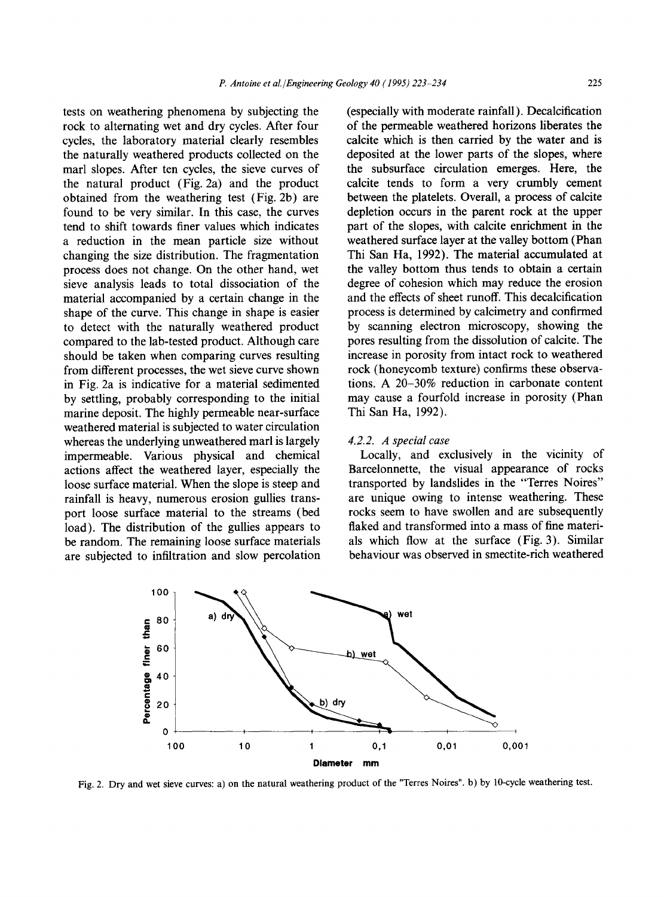tests on weathering phenomena by subjecting the rock to alternating wet and dry cycles. After four cycles, the laboratory material clearly resembles the naturally weathered products collected on the marl slopes. After ten cycles, the sieve curves of the natural product (Fig. 2a) and the product obtained from the weathering test (Fig. 2b) are found to be very similar. In this case, the curves tend to shift towards finer values which indicates a reduction in the mean particle size without changing the size distribution. The fragmentation process does not change. On the other hand, wet sieve analysis leads to total dissociation of the material accompanied by a certain change in the shape of the curve. This change in shape is easier to detect with the naturally weathered product compared to the lab-tested product. Although care should be taken when comparing curves resulting from different processes, the wet sieve curve shown in Fig. 2a is indicative for a material sedimented by settling, probably corresponding to the initial marine deposit. The highly permeable near-surface weathered material is subjected to water circulation whereas the underlying unweathered marl is largely impermeable. Various physical and chemical actions affect the weathered layer, especially the loose surface material. When the slope is steep and rainfall is heavy, numerous erosion gullies transport loose surface material to the streams (bed load). The distribution of the gullies appears to be random. The remaining loose surface materials are subjected to infiltration and slow percolation (especially with moderate rainfall). Decalcification of the permeable weathered horizons liberates the calcite which is then carried by the water and is deposited at the lower parts of the slopes, where the subsurface circulation emerges. Here, the calcite tends to form a very crumbly cement between the platelets. Overall, a process of calcite depletion occurs in the parent rock at the upper part of the slopes, with calcite enrichment in the weathered surface layer at the valley bottom (Phan Thi San Ha, 1992). The material accumulated at the valley bottom thus tends to obtain a certain degree of cohesion which may reduce the erosion and the effects of sheet runoff. This decalcification process is determined by calcimetry and confirmed by scanning electron microscopy, showing the pores resulting from the dissolution of calcite. The increase in porosity from intact rock to weathered rock (honeycomb texture) confirms these observations. A 20-30% reduction in carbonate content may cause a fourfold increase in porosity (Phan Thi San Ha, 1992).

# *4.2.2. A special case*

Locally, and exclusively in the vicinity of Barcelonnette, the visual appearance of rocks transported by landslides in the "Terres Noires" are unique owing to intense weathering. These rocks seem to have swollen and are subsequently flaked and transformed into a mass of fine materials which flow at the surface (Fig. 3). Similar behaviour was observed in smectite-rich weathered



Fig. 2. Dry and wet sieve curves: a) on the natural weathering product of the "Terres Noires". b) by 10-cycle weathering test.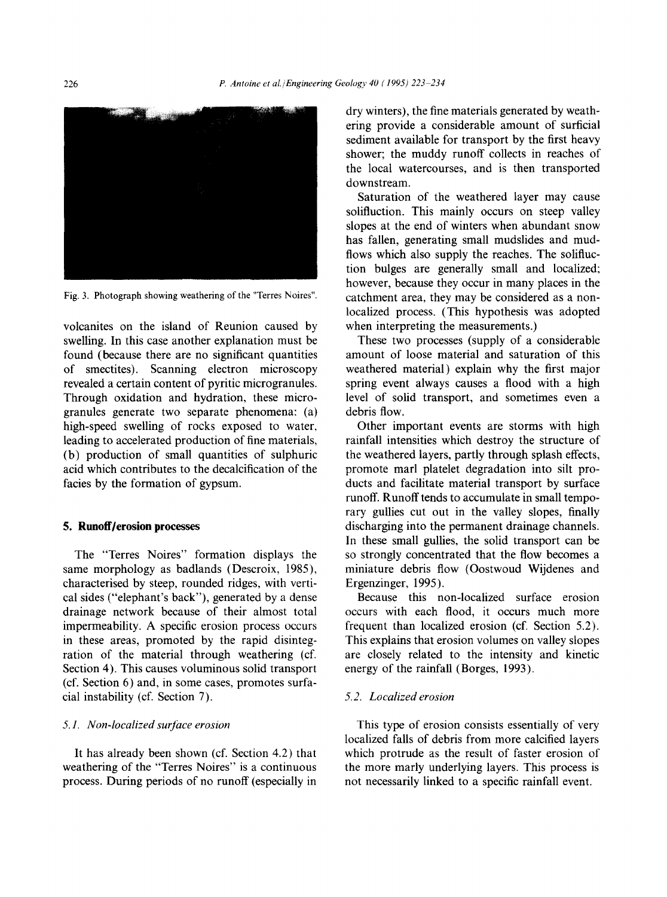

Fig. 3. Photograph showing weathering of the "Terres Noires".

volcanites on the island of Reunion caused by swelling. In this case another explanation must be found (because there are no significant quantities of smectites). Scanning electron microscopy revealed a certain content of pyritic microgranules. Through oxidation and hydration, these microgranules generate two separate phenomena: (a) high-speed swelling of rocks exposed to water, leading to accelerated production of fine materials, (b) production of small quantities of sulphuric acid which contributes to the decalcification of the facies by the formation of gypsum.

## **5. Runoff/erosion processes**

The "Terres Noires" formation displays the same morphology as badlands (Descroix, 1985), characterised by steep, rounded ridges, with vertical sides ("elephant's back"), generated by a dense drainage network because of their almost total impermeability. A specific erosion process occurs in these areas, promoted by the rapid disintegration of the material through weathering (cf. Section 4). This causes voluminous solid transport (cf. Section 6) and, in some cases, promotes surfacial instability (cf. Section 7).

# *5.1. Non-localized surface erosion*

It has already been shown (cf. Section 4.2) that weathering of the "Terres Noires" is a continuous process. During periods of no runoff (especially in dry winters), the fine materials generated by weathering provide a considerable amount of surficial sediment available for transport by the first heavy shower; the muddy runoff collects in reaches of the local watercourses, and is then transported downstream.

Saturation of the weathered layer may cause solifluction. This mainly occurs on steep valley slopes at the end of winters when abundant snow has fallen, generating small mudslides and mudflows which also supply the reaches. The solifluction bulges are generally small and localized; however, because they occur in many places in the catchment area, they may be considered as a nonlocalized process. (This hypothesis was adopted when interpreting the measurements.)

These two processes (supply of a considerable amount of loose material and saturation of this weathered material) explain why the first major spring event always causes a flood with a high level of solid transport, and sometimes even a debris flow.

Other important events are storms with high rainfall intensities which destroy the structure of the weathered layers, partly through splash effects, promote marl platelet degradation into silt products and facilitate material transport by surface runoff. Runoff tends to accumulate in small temporary gullies cut out in the valley slopes, finally discharging into the permanent drainage channels. In these small gullies, the solid transport can be so strongly concentrated that the flow becomes a miniature debris flow (Oostwoud Wijdenes and Ergenzinger, 1995).

Because this non-localized surface erosion occurs with each flood, it occurs much more frequent than localized erosion (cf. Section 5.2). This explains that erosion volumes on valley slopes are closely related to the intensity and kinetic energy of the rainfall (Borges, 1993).

# *5.2. Localized erosion*

This type of erosion consists essentially of very localized falls of debris from more calcified layers which protrude as the result of faster erosion of the more marly underlying layers. This process is not necessarily linked to a specific rainfall event.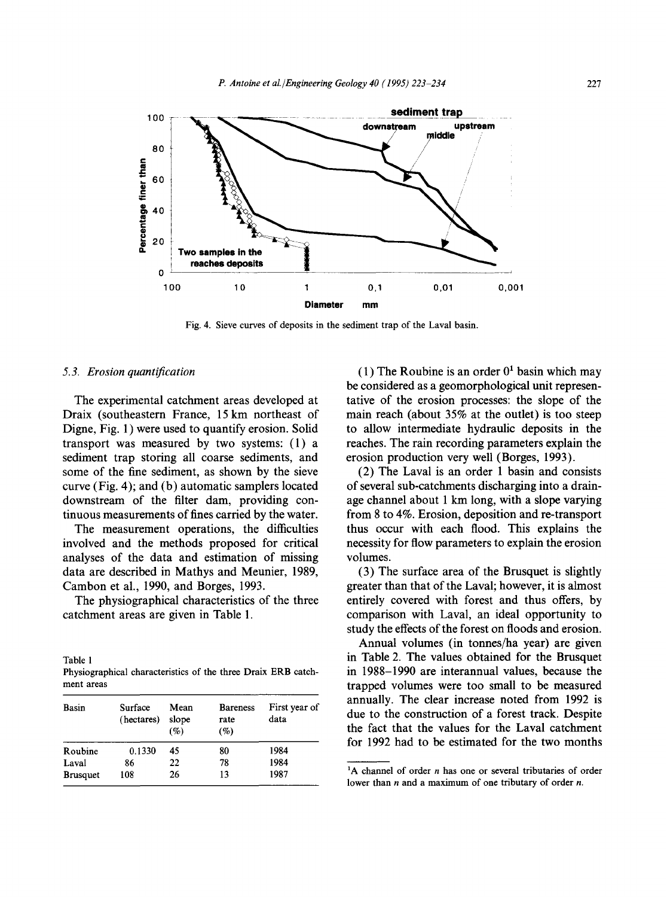

Fig. 4. Sieve curves of deposits in the sediment trap of the Laval basin.

# *5.3. Erosion quantification*

The experimental catchment areas developed at Draix (southeastern France, 15 km northeast of Digne, Fig. 1) were used to quantify erosion. Solid transport was measured by two systems: (1) a sediment trap storing all coarse sediments, and some of the fine sediment, as shown by the sieve curve (Fig. 4); and (b) automatic samplers located downstream of the filter dam, providing continuous measurements of fines carried by the water.

The measurement operations, the difficulties involved and the methods proposed for critical analyses of the data and estimation of missing data are described in Mathys and Meunier, 1989, Cambon et al., 1990, and Borges, 1993.

The physiographical characteristics of the three catchment areas are given in Table 1.

Table 1

Physiographical characteristics of the three Draix ERB catchment areas

| <b>Basin</b>    | Surface<br>(hectares) | Mean<br>slope<br>(%) | <b>Bareness</b><br>rate<br>$( \% )$ | First year of<br>data |  |  |
|-----------------|-----------------------|----------------------|-------------------------------------|-----------------------|--|--|
| Roubine         | 0.1330                | 45                   | 80                                  | 1984                  |  |  |
| Laval           | 86                    | 22                   | 78                                  | 1984                  |  |  |
| <b>Brusquet</b> | 108                   | 26                   | 13                                  | 1987                  |  |  |

(1) The Roubine is an order  $0<sup>1</sup>$  basin which may be considered as a geomorphological unit representative of the erosion processes: the slope of the main reach (about 35% at the outlet) is too steep to allow intermediate hydraulic deposits in the reaches. The rain recording parameters explain the erosion production very well (Borges, 1993).

(2) The Laval is an order 1 basin and consists of several sub-catchments discharging into a drainage channel about 1 km long, with a slope varying from 8 to 4%. Erosion, deposition and re-transport thus occur with each flood. This explains the necessity for flow parameters to explain the erosion volumes.

(3) The surface area of the Brusquet is slightly greater than that of the Laval; however, it is almost entirely covered with forest and thus offers, by comparison with Laval, an ideal opportunity to study the effects of the forest on floods and erosion.

Annual volumes (in tonnes/ha year) are given in Table 2. The values obtained for the Brusquet in 1988-1990 are interannual values, because the trapped volumes were too small to be measured annually. The clear increase noted from 1992 is due to the construction of a forest track. Despite the fact that the values for the Laval catchment for 1992 had to be estimated for the two months

 ${}^{1}$ A channel of order *n* has one or several tributaries of order lower than  $n$  and a maximum of one tributary of order  $n$ .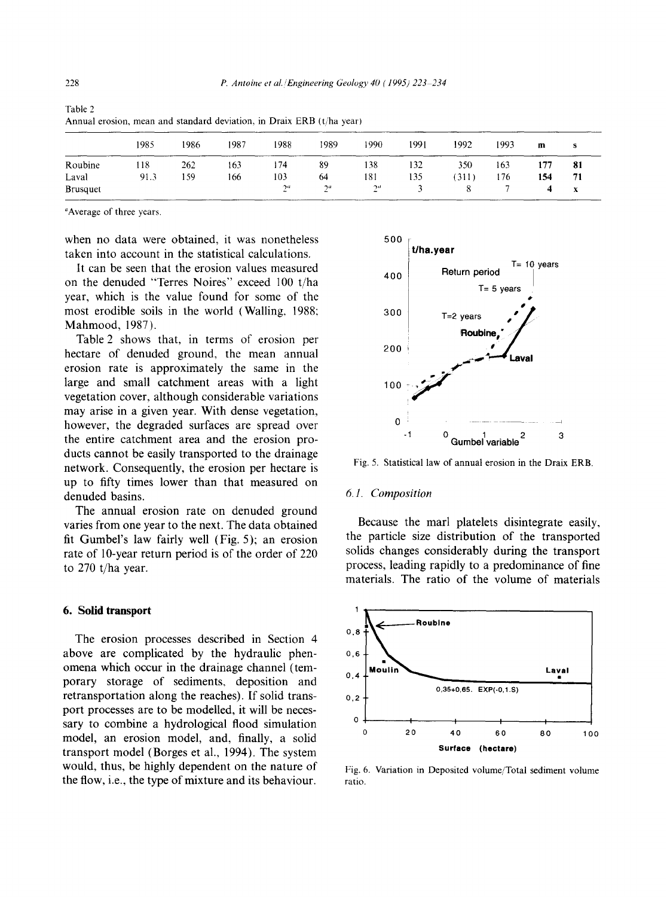|                 | 1985 | 1986 | 1987 | 1988       | 1989                   | 1990       | 1991 | 1992 | 1993 | $\mathbf{m}$ |             |
|-----------------|------|------|------|------------|------------------------|------------|------|------|------|--------------|-------------|
| Roubine         | 18   | 262  | 163  | 174        | 89                     | 138        | 132  | 350  | 163  | 177          | 81          |
| Laval           | 91.3 | 59،  | 166  | 103        | 64                     | 181        | 135  | 311  | 176  | 154          | -71         |
| <b>Brusquet</b> |      |      |      | $\gamma$ u | $\mathcal{D}^{\alpha}$ | $\gamma$ u |      |      |      |              | $\mathbf v$ |

Table 2 Annual erosion, mean and standard deviation, in Draix ERB (t/ha year)

"Average of three years.

when no data were obtained, it was nonetheless taken into account in the statistical calculations.

It can be seen that the erosion values measured on the denuded "Terres Noires" exceed 100 t/ha year, which is the value found for some of the most erodible soils in the world (Walling, 1988; Mahmood, 1987).

Table 2 shows that, in terms of erosion per hectare of denuded ground, the mean annual erosion rate is approximately the same in the large and small catchment areas with a light vegetation cover, although considerable variations may arise in a given year. With dense vegetation, however, the degraded surfaces are spread over the entire catchment area and the erosion products cannot be easily transported to the drainage network. Consequently, the erosion per hectare is up to fifty times lower than that measured on denuded basins.

The annual erosion rate on denuded ground varies from one year to the next. The data obtained fit Gumbel's law fairly well (Fig. 5); an erosion rate of 10-year return period is of the order of 220 to 270 t/ha year.

## **6. Solid transport**

The erosion processes described in Section 4 above are complicated by the hydraulic phenomena which occur in the drainage channel (temporary storage of sediments, deposition and retransportation along the reaches). If solid transport processes are to be modelled, it will be necessary to combine a hydrological flood simulation model, an erosion model, and, finally, a solid transport model (Borges et al., 1994). The system would, thus, be highly dependent on the nature of the flow, i.e., the type of mixture and its behaviour.



Fig. 5. Statistical law of annual erosion in the Draix ERB.

#### *6.1. Composition*

Because the marl platelets disintegrate easily, the particle size distribution of the transported solids changes considerably during the transport process, leading rapidly to a predominance of fine materials. The ratio of the volume of materials



Fig. 6. Variation in Deposited volume/Total sediment volume ratio.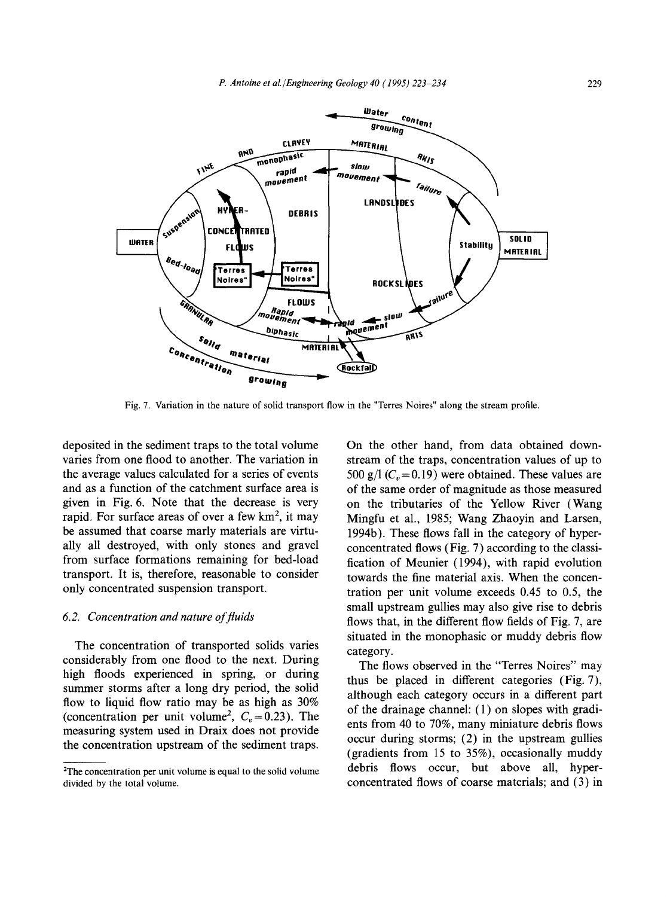

Fig. 7. Variation in the nature of solid transport flow in the "Terres Noires" along the stream profile.

deposited in the sediment traps to the total volume varies from one flood to another. The variation in the average values calculated for a series of events and as a function of the catchment surface area is given in Fig. 6. Note that the decrease is very rapid. For surface areas of over a few  $km<sup>2</sup>$ , it may be assumed that coarse marly materials are virtually all destroyed, with only stones and gravel from surface formations remaining for bed-load transport. It is, therefore, reasonable to consider only concentrated suspension transport.

## *6.2. Concentration and nature of fluids*

The concentration of transported solids varies considerably from one flood to the next. During high floods experienced in spring, or during summer storms after a long dry period, the solid flow to liquid flow ratio may be as high as 30% (concentration per unit volume<sup>2</sup>,  $C_v$ =0.23). The measuring system used in Draix does not provide the concentration upstream of the sediment traps. On the other hand, from data obtained downstream of the traps, concentration values of up to 500 g/l  $(C_v = 0.19)$  were obtained. These values are of the same order of magnitude as those measured on the tributaries of the Yellow River (Wang Mingfu et al., 1985; Wang Zhaoyin and Larsen, 1994b). These flows fall in the category of hyperconcentrated flows (Fig. 7) according to the classification of Meunier (1994), with rapid evolution towards the fine material axis. When the concentration per unit volume exceeds 0.45 to 0.5, the small upstream gullies may also give rise to debris flows that, in the different flow fields of Fig. 7, are situated in the monophasic or muddy debris flow category.

The flows observed in the "Terres Noires" may thus be placed in different categories (Fig. 7), although each category occurs in a different part of the drainage channel: (1) on slopes with gradients from 40 to 70%, many miniature debris flows occur during storms; (2) in the upstream gullies (gradients from 15 to 35%), occasionally muddy debris flows occur, but above all, hyperconcentrated flows of coarse materials; and (3) in

<sup>2</sup>The concentration per unit volume is equal to the solid volume divided by the total volume.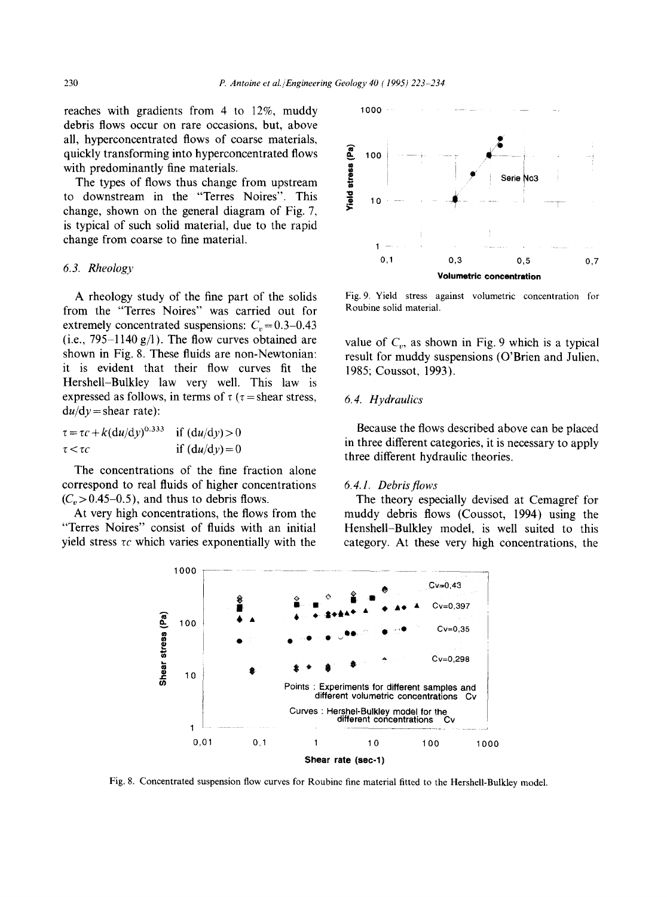reaches with gradients from 4 to 12%, muddy debris flows occur on rare occasions, but, above all, hyperconcentrated flows of coarse materials, quickly transforming into hyperconcentrated flows with predominantly fine materials.

The types of flows thus change from upstream to downstream in the "Terres Noires". This change, shown on the general diagram of Fig. 7, is typical of such solid material, due to the rapid change from coarse to fine material.

# *6.3. Rheology*

A rheology study of the fine part of the solids from the "Terres Noires" was carried out for extremely concentrated suspensions:  $C<sub>r</sub> = 0.3 - 0.43$ (i.e.,  $795-1140$  g/l). The flow curves obtained are shown in Fig. 8. These fluids are non-Newtonian: it is evident that their flow curves fit the Hershell-Bulkley law very well. This law is expressed as follows, in terms of  $\tau$  ( $\tau$  = shear stress,  $du/dy =$ shear rate):

$$
\tau = \tau c + k(\mathrm{d}u/\mathrm{d}y)^{0.333} \quad \text{if } (\mathrm{d}u/\mathrm{d}y) > 0
$$
  

$$
\tau < \tau c \quad \text{if } (\mathrm{d}u/\mathrm{d}y) = 0
$$

The concentrations of the fine fraction alone correspond to real fluids of higher concentrations  $(C_v>0.45-0.5)$ , and thus to debris flows.

At very high concentrations, the flows from the "Terres Noires" consist of fluids with an initial yield stress  $\tau c$  which varies exponentially with the



Fig. 9. Yield stress against volumetric concentration for Roubine solid material.

value of  $C_{v}$ , as shown in Fig. 9 which is a typical result for muddy suspensions (O'Brien and Julien, 1985; Coussot, 1993).

# *6.4. Hydraulics*

Because the flows described above can be placed in three different categories, it is necessary to apply three different hydraulic theories.

#### *6.4.1. Debris flows*

The theory especially devised at Cemagref for muddy debris flows (Coussot, 1994) using the Henshell-Bulkley model, is well suited to this category. At these very high concentrations, the



Fig. 8. Concentrated suspension flow curves for Roubine fine material fitted to the Hershell-Bulkley model.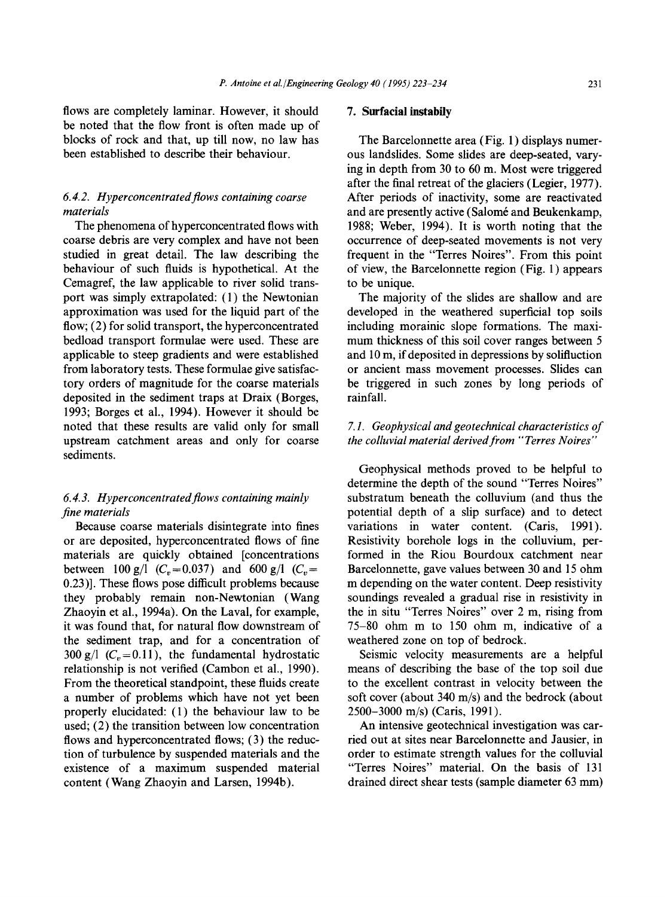flows are completely laminar. However, it should be noted that the flow front is often made up of blocks of rock and that, up till now, no law has been established to describe their behaviour.

# *6.4.2. Hyperconcentrated flows containing coarse materials*

The phenomena of hyperconcentrated flows with coarse debris are very complex and have not been studied in great detail. The law describing the behaviour of such fluids is hypothetical. At the Cemagref, the law applicable to river solid transport was simply extrapolated: (1) the Newtonian approximation was used for the liquid part of the flow; (2) for solid transport, the hyperconcentrated bedload transport formulae were used. These are applicable to steep gradients and were established from laboratory tests. These formulae give satisfactory orders of magnitude for the coarse materials deposited in the sediment traps at Draix (Borges, 1993; Borges et al., 1994). However it should be noted that these results are valid only for small upstream catchment areas and only for coarse sediments.

# *6.4.3. Hyperconcentrated flows containing mainly fine materials*

Because coarse materials disintegrate into fines or are deposited, hyperconcentrated flows of fine materials are quickly obtained [concentrations between 100 g/l  $(C_v=0.037)$  and 600 g/l  $(C_v=0.037)$ 0.23)]. These flows pose difficult problems because they probably remain non-Newtonian (Wang Zhaoyin et al., 1994a). On the Laval, for example, it was found that, for natural flow downstream of the sediment trap, and for a concentration of 300 g/l  $(C_v = 0.11)$ , the fundamental hydrostatic relationship is not verified (Cambon et al., 1990). From the theoretical standpoint, these fluids create a number of problems which have not yet been properly elucidated: (1) the behaviour law to be used; (2) the transition between low concentration flows and hyperconcentrated flows; (3) the reduction of turbulence by suspended materials and the existence of a maximum suspended material content (Wang Zhaoyin and Larsen, 1994b).

#### **7. Surfacial instabily**

The Barcelonnette area (Fig. 1) displays numerous landslides. Some slides are deep-seated, varying in depth from 30 to 60 m. Most were triggered after the final retreat of the glaciers (Legier, 1977). After periods of inactivity, some are reactivated and are presently active (Salomé and Beukenkamp, 1988; Weber, 1994). It is worth noting that the occurrence of deep-seated movements is not very frequent in the "Terres Noires". From this point of view, the Barcelonnette region (Fig. 1) appears to be unique.

The majority of the slides are shallow and are developed in the weathered superficial top soils including morainic slope formations. The maximum thickness of this soil cover ranges between 5 and 10 m, if deposited in depressions by solifluction or ancient mass movement processes. Slides can be triggered in such zones by long periods of rainfall.

# *7.1. Geophysical and geotechnical characteristics of the colluvial material derived from "Terres Noires"*

Geophysical methods proved to be helpful to determine the depth of the sound "Terres Noires" substratum beneath the colluvium (and thus the potential depth of a slip surface) and to detect variations in water content. (Caris, 1991). Resistivity borehole logs in the colluvium, performed in the Riou Bourdoux catchment near Barcelonnette, gave values between 30 and 15 ohm m depending on the water content. Deep resistivity soundings revealed a gradual rise in resistivity in the in situ "Terres Noires" over 2 m, rising from 75-80 ohm m to 150 ohm m, indicative of a weathered zone on top of bedrock.

Seismic velocity measurements are a helpful means of describing the base of the top soil due to the excellent contrast in velocity between the soft cover (about 340 m/s) and the bedrock (about 2500-3000 m/s) (Caris, 1991).

An intensive geotechnical investigation was carried out at sites near Barcelonnette and Jausier, in order to estimate strength values for the colluvial "Terres Noires" material. On the basis of 131 drained direct shear tests (sample diameter 63 mm)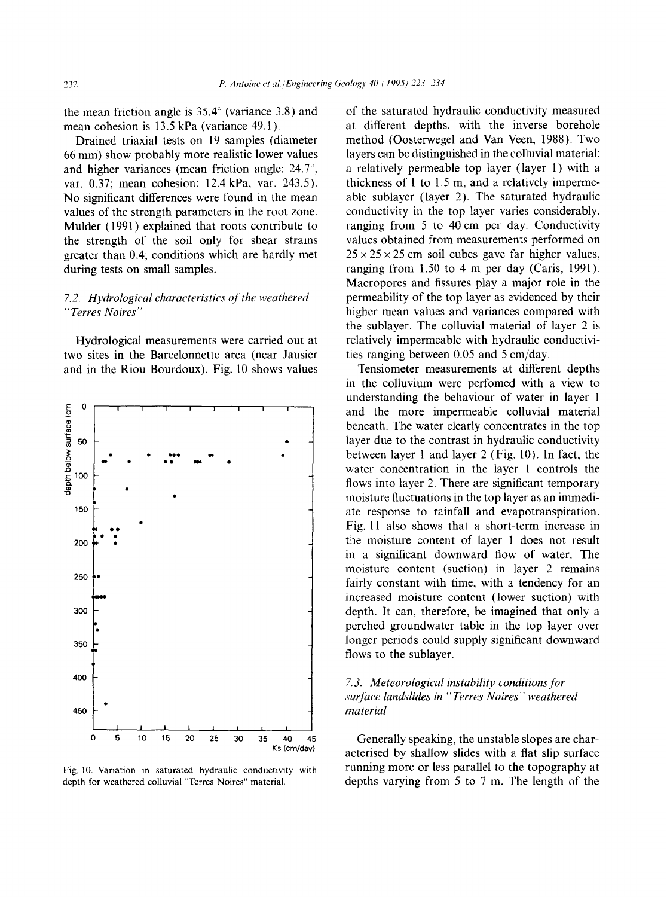the mean friction angle is  $35.4^{\circ}$  (variance 3.8) and mean cohesion is 13.5 kPa (variance 49.1).

Drained triaxial tests on 19 samples (diameter 66 mm) show probably more realistic lower values and higher variances (mean friction angle:  $24.7^{\circ}$ , var. 0.37; mean cohesion: 12.4kPa, var. 243.5). No significant differences were found in the mean values of the strength parameters in the root zone. Mulder (1991) explained that roots contribute to the strength of the soil only for shear strains greater than 0.4; conditions which are hardly met during tests on small samples.

# *7.2. Hydrological characteristics of the weathered "Terres Noires'"*

Hydrological measurements were carried out at two sites in the Barcelonnette area (near Jausier and in the Riou Bourdoux). Fig. 10 shows values



Fig. 10. Variation in saturated hydraulic conductivity with depth for weathered colluvial "Terres Noires" material.

of the saturated hydraulic conductivity measured at different depths, with the inverse borehole method (Oosterwegel and Van Veen, 1988). Two layers can be distinguished in the colluvial material: a relatively permeable top layer (layer 1) with a thickness of 1 to 1.5 m, and a relatively impermeable sublayer (layer 2). The saturated hydraulic conductivity in the top layer varies considerably, ranging from 5 to 40 cm per day. Conductivity values obtained from measurements performed on  $25 \times 25 \times 25$  cm soil cubes gave far higher values, ranging from 1.50 to 4 m per day (Caris, 1991). Macropores and fissures play a major role in the permeability of the top layer as evidenced by their higher mean values and variances compared with the sublayer. The colluvial material of layer 2 is relatively impermeable with hydraulic conductivities ranging between 0.05 and 5 cm/day.

Tensiometer measurements at different depths in the colluvium were perfomed with a view to understanding the behaviour of water in layer 1 and the more impermeable colluvial material beneath. The water clearly concentrates in the top layer due to the contrast in hydraulic conductivity between layer 1 and layer 2 (Fig. 10). In fact, the water concentration in the layer 1 controls the flows into layer 2. There are significant temporary moisture fluctuations in the top layer as an immediate response to rainfall and evapotranspiration. Fig. 11 also shows that a short-term increase in the moisture content of layer 1 does not result in a significant downward flow of water. The moisture content (suction) in layer 2 remains fairly constant with time, with a tendency for an increased moisture content (lower suction) with depth. It can, therefore, be imagined that only a perched groundwater table in the top layer over longer periods could supply significant downward flows to the sublayer.

# *7.3. Meteorological instability conditions Jor surface landslides in "Terres Noires" weathered material*

Generally speaking, the unstable slopes are characterised by shallow slides with a flat slip surface running more or less parallel to the topography at depths varying from 5 to 7 m. The length of the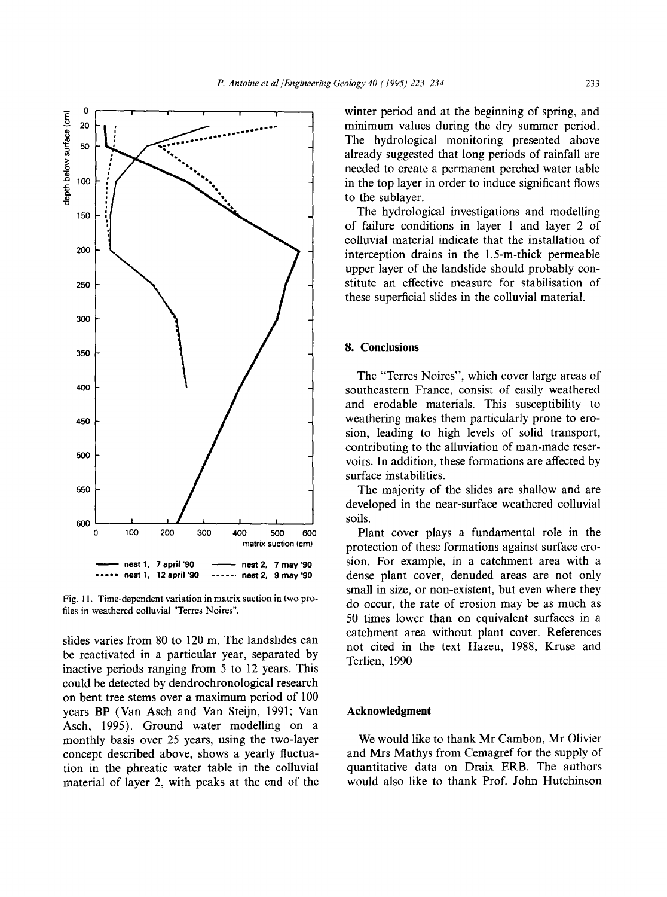

Fig. 11. Time-dependent variation in matrix suction in two profiles in weathered colluvial "Terres Noires".

slides varies from 80 to 120 m. The landslides can be reactivated in a particular year, separated by inactive periods ranging from 5 to 12 years. This could be detected by dendrochronological research on bent tree stems over a maximum period of 100 years BP (Van Asch and Van Steijn, 1991; Van Asch, 1995). Ground water modelling on a monthly basis over 25 years, using the two-layer concept described above, shows a yearly fluctuation in the phreatic water table in the colluvial material of layer 2, with peaks at the end of the winter period and at the beginning of spring, and minimum values during the dry summer period. The hydrological monitoring presented above already suggested that long periods of rainfall are needed to create a permanent perched water table in the top layer in order to induce significant flows to the sublayer.

The hydrological investigations and modelling of failure conditions in layer 1 and layer 2 of colluvial material indicate that the installation of interception drains in the 1.5-m-thick permeable upper layer of the landslide should probably constitute an effective measure for stabilisation of these superficial slides in the colluvial material.

# **8. Conclusions**

The "Terres Noires", which cover large areas of southeastern France, consist of easily weathered and erodable materials. This susceptibility to weathering makes them particularly prone to erosion, leading to high levels of solid transport, contributing to the alluviation of man-made reservoirs. In addition, these formations are affected by surface instabilities.

The majority of the slides are shallow and are developed in the near-surface weathered colluvial soils.

Plant cover plays a fundamental role in the protection of these formations against surface erosion. For example, in a catchment area with a dense plant cover, denuded areas are not only small in size, or non-existent, but even where they do occur, the rate of erosion may be as much as 50 times lower than on equivalent surfaces in a catchment area without plant cover. References not cited in the text Hazeu, 1988, Kruse and Terlien, 1990

# **Acknowledgment**

We would like to thank Mr Cambon, Mr Olivier and Mrs Mathys from Cemagref for the supply of quantitative data on Draix ERB. The authors would also like to thank Prof. John Hutchinson